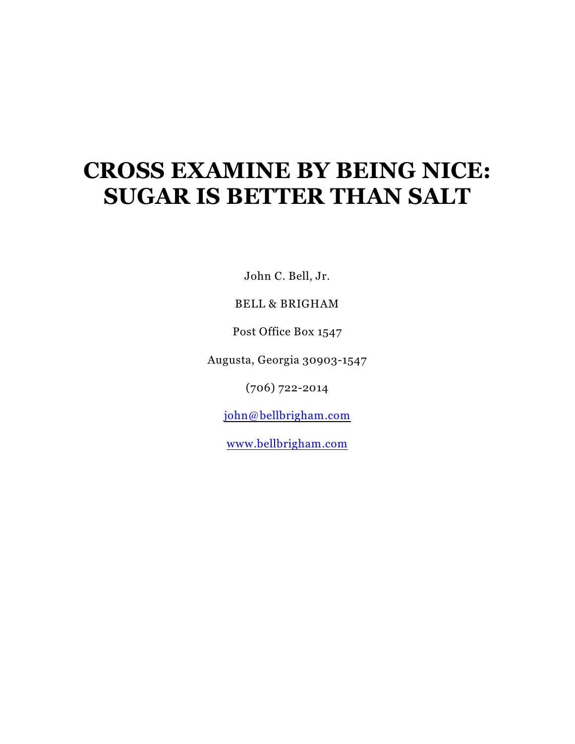# **CROSS EXAMINE BY BEING NICE: SUGAR IS BETTER THAN SALT**

John C. Bell, Jr.

# BELL & BRIGHAM

Post Office Box 1547

Augusta, Georgia 30903-1547

(706) 722-2014

[john@bellbrigham.com](mailto:john@belljames.com)

[www.bellbrigham.com](http://www.bellbrigham.com)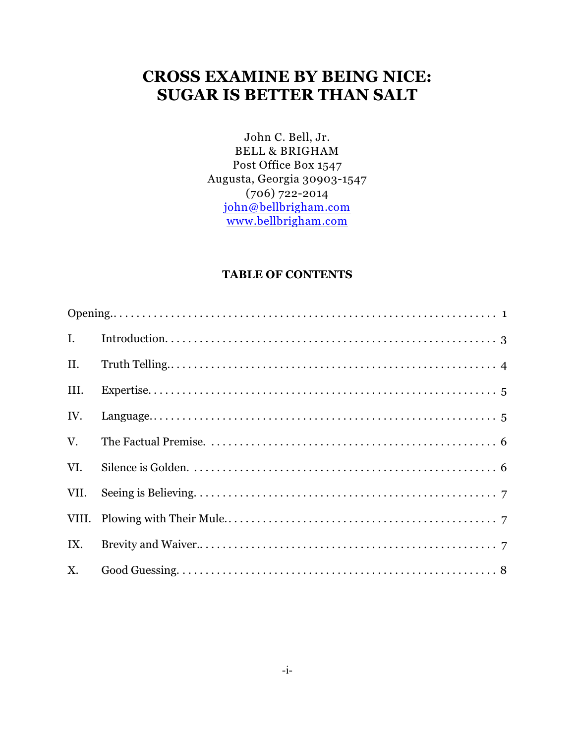# **CROSS EXAMINE BY BEING NICE: SUGAR IS BETTER THAN SALT**

John C. Bell, Jr. BELL & BRIGHAM Post Office Box 1547 Augusta, Georgia 30903-1547 (706) 722-2014 [john@bellbrigham.com](mailto:john@belljames.com) [www.bellbrigham.com](http://www.bellbrigham.com)

# **TABLE OF CONTENTS**

| II.  |  |
|------|--|
| III. |  |
| IV.  |  |
| V.   |  |
| VI.  |  |
| VII. |  |
|      |  |
|      |  |
|      |  |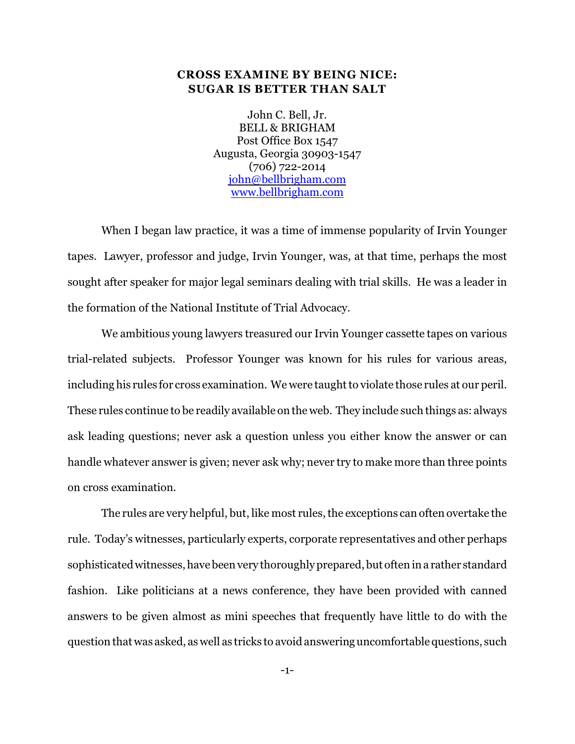## **CROSS EXAMINE BY BEING NICE: SUGAR IS BETTER THAN SALT**

John C. Bell, Jr. BELL & BRIGHAM Post Office Box 1547 Augusta, Georgia 30903-1547 (706) 722-2014 [john@bellbrigham.com](mailto:john@belljames.com) [www.bellbrigham.com](http://www.bellbrigham.com)

When I began law practice, it was a time of immense popularity of Irvin Younger tapes. Lawyer, professor and judge, Irvin Younger, was, at that time, perhaps the most sought after speaker for major legal seminars dealing with trial skills. He was a leader in the formation of the National Institute of Trial Advocacy.

We ambitious young lawyers treasured our Irvin Younger cassette tapes on various trial-related subjects. Professor Younger was known for his rules for various areas, including his rules for cross examination. We were taught to violate those rules at our peril. These rules continue to be readily available on the web. They include such things as: always ask leading questions; never ask a question unless you either know the answer or can handle whatever answer is given; never ask why; never try to make more than three points on cross examination.

The rules are very helpful, but, like most rules, the exceptions can often overtake the rule. Today's witnesses, particularly experts, corporate representatives and other perhaps sophisticated witnesses, have been very thoroughly prepared, but often in a rather standard fashion. Like politicians at a news conference, they have been provided with canned answers to be given almost as mini speeches that frequently have little to do with the question that was asked, as well as tricks to avoid answering uncomfortable questions, such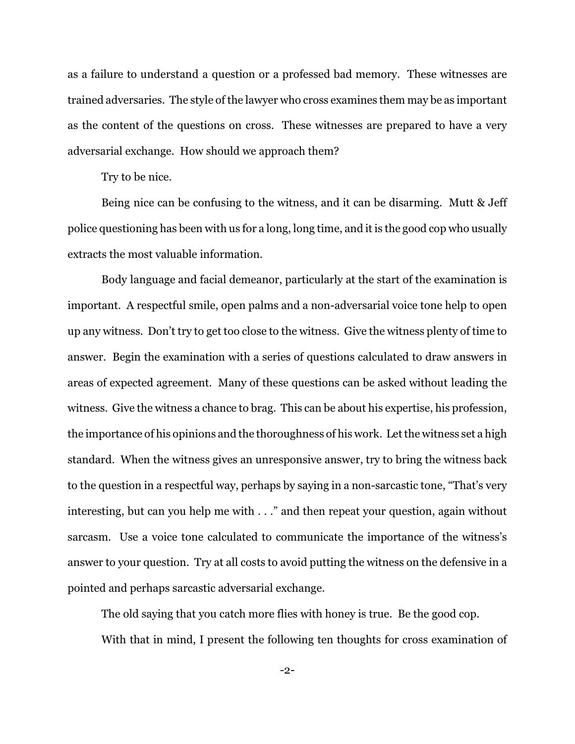as a failure to understand a question or a professed bad memory. These witnesses are trained adversaries. The style of the lawyer who cross examines them may be as important as the content of the questions on cross. These witnesses are prepared to have a very adversarial exchange. How should we approach them?

Try to be nice.

Being nice can be confusing to the witness, and it can be disarming. Mutt & Jeff police questioning has been with us for a long, long time, and it is the good cop who usually extracts the most valuable information.

Body language and facial demeanor, particularly at the start of the examination is important. A respectful smile, open palms and a non-adversarial voice tone help to open up any witness. Don't try to get too close to the witness. Give the witness plenty of time to answer. Begin the examination with a series of questions calculated to draw answers in areas of expected agreement. Many of these questions can be asked without leading the witness. Give the witness a chance to brag. This can be about his expertise, his profession, the importance of his opinions and the thoroughness of his work. Let the witness set a high standard. When the witness gives an unresponsive answer, try to bring the witness back to the question in a respectful way, perhaps by saying in a non-sarcastic tone, "That's very interesting, but can you help me with . . ." and then repeat your question, again without sarcasm. Use a voice tone calculated to communicate the importance of the witness's answer to your question. Try at all costs to avoid putting the witness on the defensive in a pointed and perhaps sarcastic adversarial exchange.

The old saying that you catch more flies with honey is true. Be the good cop. With that in mind, I present the following ten thoughts for cross examination of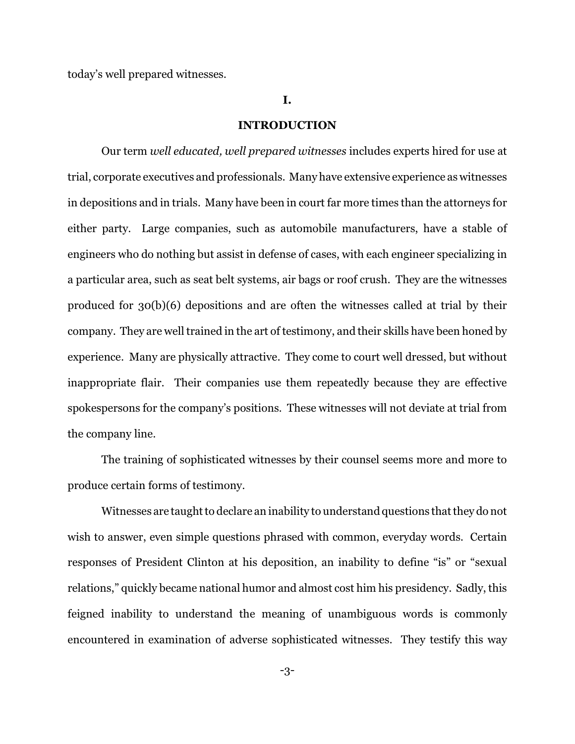today's well prepared witnesses.

#### **I.**

#### **INTRODUCTION**

Our term *well educated, well prepared witnesses* includes experts hired for use at trial, corporate executives and professionals. Many have extensive experience as witnesses in depositions and in trials. Many have been in court far more times than the attorneys for either party. Large companies, such as automobile manufacturers, have a stable of engineers who do nothing but assist in defense of cases, with each engineer specializing in a particular area, such as seat belt systems, air bags or roof crush. They are the witnesses produced for 30(b)(6) depositions and are often the witnesses called at trial by their company. They are well trained in the art of testimony, and their skills have been honed by experience. Many are physically attractive. They come to court well dressed, but without inappropriate flair. Their companies use them repeatedly because they are effective spokespersons for the company's positions. These witnesses will not deviate at trial from the company line.

The training of sophisticated witnesses by their counsel seems more and more to produce certain forms of testimony.

Witnesses are taught to declare an inability to understand questions that they do not wish to answer, even simple questions phrased with common, everyday words. Certain responses of President Clinton at his deposition, an inability to define "is" or "sexual relations," quickly became national humor and almost cost him his presidency. Sadly, this feigned inability to understand the meaning of unambiguous words is commonly encountered in examination of adverse sophisticated witnesses. They testify this way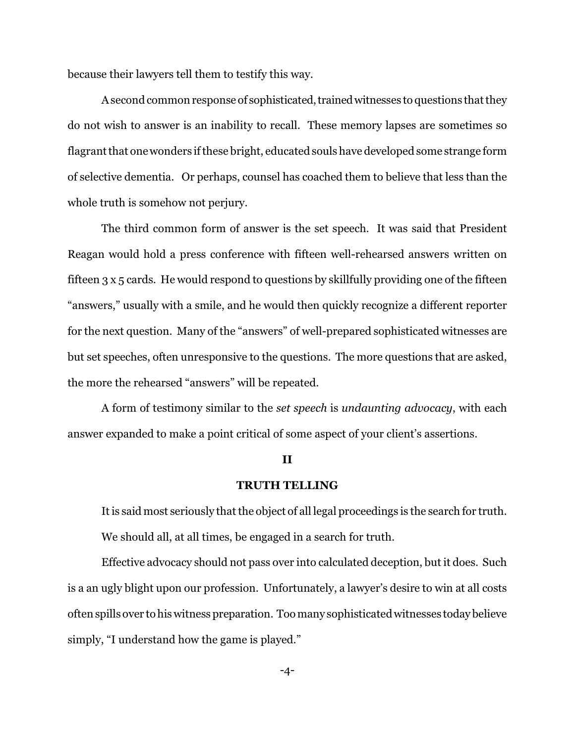because their lawyers tell them to testify this way.

A second common response of sophisticated, trained witnesses to questions that they do not wish to answer is an inability to recall. These memory lapses are sometimes so flagrant that onewonders if these bright, educated souls have developed some strange form of selective dementia. Or perhaps, counsel has coached them to believe that less than the whole truth is somehow not perjury.

The third common form of answer is the set speech. It was said that President Reagan would hold a press conference with fifteen well-rehearsed answers written on fifteen 3 x 5 cards. He would respond to questions by skillfully providing one of the fifteen "answers," usually with a smile, and he would then quickly recognize a different reporter for the next question. Many of the "answers" of well-prepared sophisticated witnesses are but set speeches, often unresponsive to the questions. The more questions that are asked, the more the rehearsed "answers" will be repeated.

A form of testimony similar to the *set speech* is *undaunting advocacy*, with each answer expanded to make a point critical of some aspect of your client's assertions.

#### **II**

#### **TRUTH TELLING**

It is said most seriously that the object of all legal proceedings is the search for truth. We should all, at all times, be engaged in a search for truth.

Effective advocacy should not pass over into calculated deception, but it does. Such is a an ugly blight upon our profession. Unfortunately, a lawyer's desire to win at all costs often spills over to his witness preparation. Too many sophisticated witnesses today believe simply, "I understand how the game is played."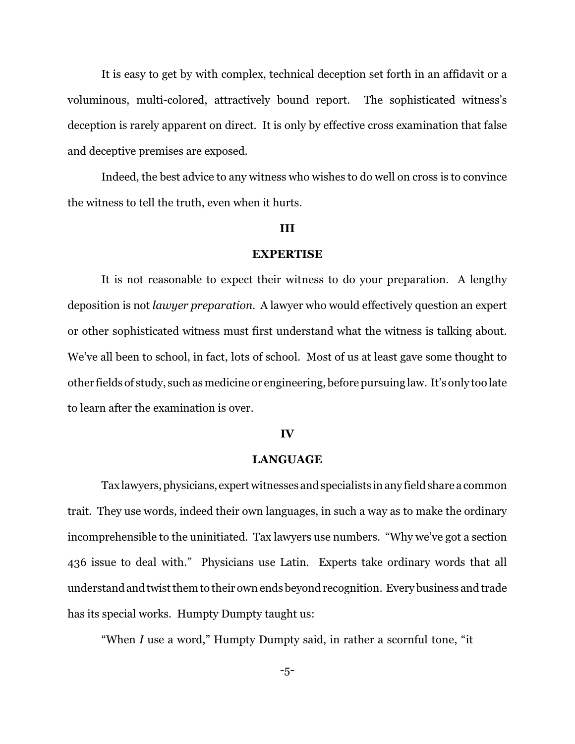It is easy to get by with complex, technical deception set forth in an affidavit or a voluminous, multi-colored, attractively bound report. The sophisticated witness's deception is rarely apparent on direct. It is only by effective cross examination that false and deceptive premises are exposed.

Indeed, the best advice to any witness who wishes to do well on cross is to convince the witness to tell the truth, even when it hurts.

#### **III**

#### **EXPERTISE**

It is not reasonable to expect their witness to do your preparation. A lengthy deposition is not *lawyer preparation*. A lawyer who would effectively question an expert or other sophisticated witness must first understand what the witness is talking about. We've all been to school, in fact, lots of school. Most of us at least gave some thought to other fields of study, such asmedicine or engineering, before pursuing law. It's only too late to learn after the examination is over.

### **IV**

#### **LANGUAGE**

Tax lawyers, physicians, expert witnesses and specialists in any field share a common trait. They use words, indeed their own languages, in such a way as to make the ordinary incomprehensible to the uninitiated. Tax lawyers use numbers. "Why we've got a section 436 issue to deal with." Physicians use Latin. Experts take ordinary words that all understandandtwist them to their own ends beyond recognition. Every business and trade has its special works. Humpty Dumpty taught us:

"When *I* use a word," Humpty Dumpty said, in rather a scornful tone, "it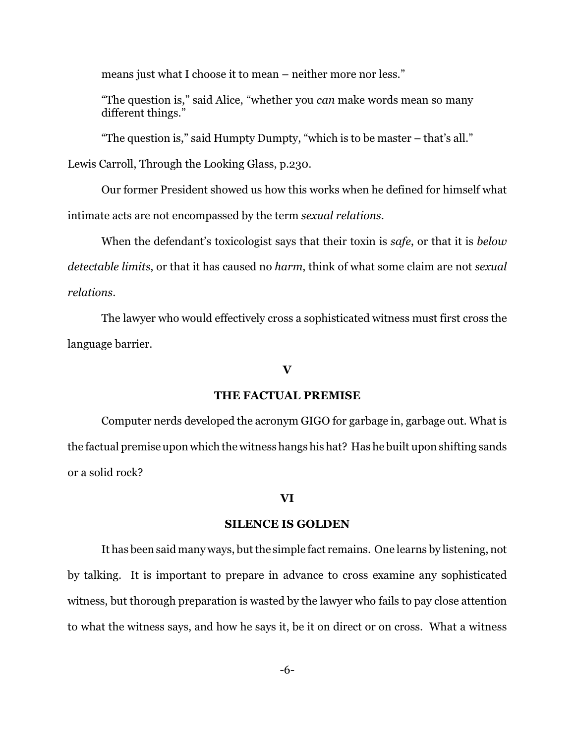means just what I choose it to mean – neither more nor less."

"The question is," said Alice, "whether you *can* make words mean so many different things."

"The question is," said Humpty Dumpty, "which is to be master – that's all."

Lewis Carroll, Through the Looking Glass, p.230.

Our former President showed us how this works when he defined for himself what intimate acts are not encompassed by the term *sexual relations*.

When the defendant's toxicologist says that their toxin is *safe*, or that it is *below detectable limits*, or that it has caused no *harm*, think of what some claim are not *sexual relations*.

The lawyer who would effectively cross a sophisticated witness must first cross the language barrier.

#### **V**

#### **THE FACTUAL PREMISE**

Computer nerds developed the acronym GIGO for garbage in, garbage out. What is the factual premise upon which the witnesshangs his hat? Has he built upon shifting sands or a solid rock?

#### **VI**

### **SILENCE IS GOLDEN**

It has been said many ways, but the simple fact remains. One learns by listening, not by talking. It is important to prepare in advance to cross examine any sophisticated witness, but thorough preparation is wasted by the lawyer who fails to pay close attention to what the witness says, and how he says it, be it on direct or on cross. What a witness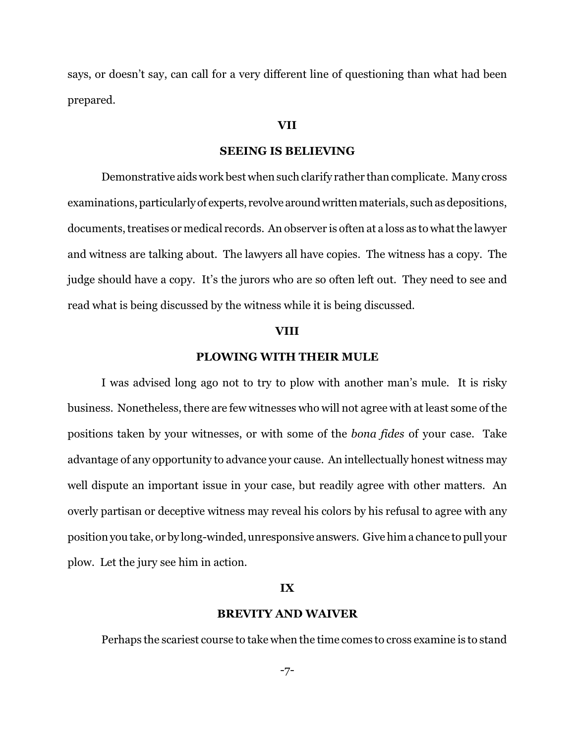says, or doesn't say, can call for a very different line of questioning than what had been prepared.

### **VII**

#### **SEEING IS BELIEVING**

Demonstrative aids work best when such clarify rather than complicate. Many cross examinations, particularly of experts, revolve around written materials, such as depositions, documents, treatises or medical records. An observer is often at a loss as to what the lawyer and witness are talking about. The lawyers all have copies. The witness has a copy. The judge should have a copy. It's the jurors who are so often left out. They need to see and read what is being discussed by the witness while it is being discussed.

#### **VIII**

# **PLOWING WITH THEIR MULE**

I was advised long ago not to try to plow with another man's mule. It is risky business. Nonetheless, there are few witnesses who will not agree with at least some of the positions taken by your witnesses, or with some of the *bona fides* of your case. Take advantage of any opportunity to advance your cause. An intellectually honest witness may well dispute an important issue in your case, but readily agree with other matters. An overly partisan or deceptive witness may reveal his colors by his refusal to agree with any position you take, or by long-winded, unresponsive answers. Give him a chance to pull your plow. Let the jury see him in action.

#### **IX**

#### **BREVITY AND WAIVER**

Perhaps the scariest course to take when the time comes to cross examine is to stand